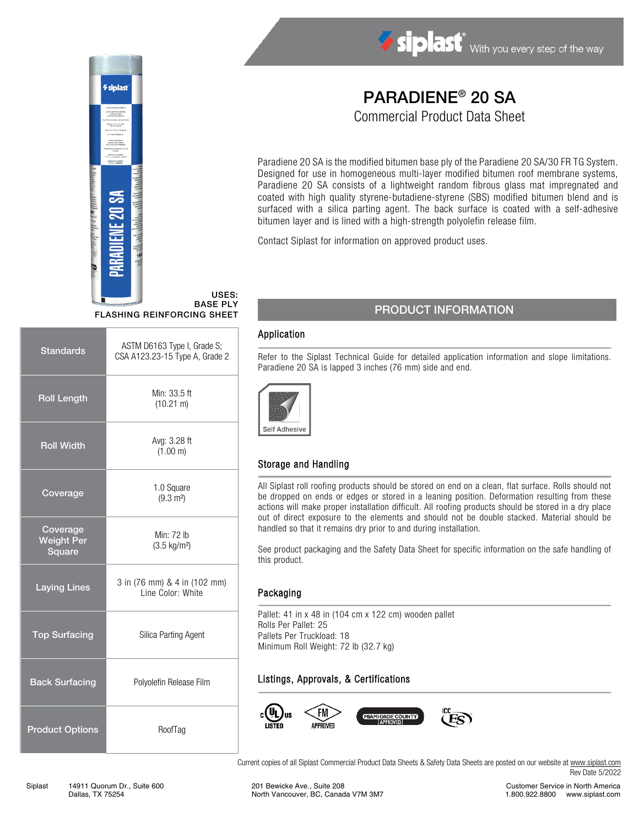

Siplast With you every step of the way

# PARADIENE® 20 SA Commercial Product Data Sheet

Paradiene 20 SA is the modified bitumen base ply of the Paradiene 20 SA/30 FR TG System. Designed for use in homogeneous multi-layer modified bitumen roof membrane systems, Paradiene 20 SA consists of a lightweight random fibrous glass mat impregnated and coated with high quality styrene-butadiene-styrene (SBS) modified bitumen blend and is surfaced with a silica parting agent. The back surface is coated with a self-adhesive bitumen layer and is lined with a high-strength polyolefin release film.

Contact Siplast for information on approved product uses.

#### USES: BASE PLY FLASHING REINFORCING SHEET

| <b>Standards</b>                        | ASTM D6163 Type I, Grade S;<br>CSA A123.23-15 Type A, Grade 2 |  |
|-----------------------------------------|---------------------------------------------------------------|--|
| <b>Roll Length</b>                      | Min: 33.5 ft<br>$(10.21 \text{ m})$                           |  |
| <b>Roll Width</b>                       | Avg: 3.28 ft<br>(1.00 m)                                      |  |
| Coverage                                | 1.0 Square<br>$(9.3 \text{ m}^2)$                             |  |
| Coverage<br><b>Weight Per</b><br>Square | Min: 72 lb<br>$(3.5 \text{ kg/m}^2)$                          |  |
| Laying Lines                            | 3 in (76 mm) & 4 in (102 mm)<br>Line Color: White             |  |
| <b>Top Surfacing</b>                    | Silica Parting Agent                                          |  |
| <b>Back Surfacing</b>                   | Polyolefin Release Film                                       |  |
| <b>Product Options</b>                  | RoofTag                                                       |  |

# PRODUCT INFORMATION

#### Application

Refer to the Siplast Technical Guide for detailed application information and slope limitations. Paradiene 20 SA is lapped 3 inches (76 mm) side and end.



### Storage and Handling

All Siplast roll roofing products should be stored on end on a clean, flat surface. Rolls should not be dropped on ends or edges or stored in a leaning position. Deformation resulting from these actions will make proper installation difficult. All roofing products should be stored in a dry place out of direct exposure to the elements and should not be double stacked. Material should be handled so that it remains dry prior to and during installation.

See product packaging and the Safety Data Sheet for specific information on the safe handling of this product.

#### Packaging

Pallet: 41 in x 48 in (104 cm x 122 cm) wooden pallet Rolls Per Pallet: 25 Pallets Per Truckload: 18 Minimum Roll Weight: 72 lb (32.7 kg)

### Listings, Approvals, & Certifications



Current copies of all Siplast Commercial Product Data Sheets & Safety Data Sheets are posted on our website at [www.siplast.com](http://www.siplast.com/) Rev Date 5/2022